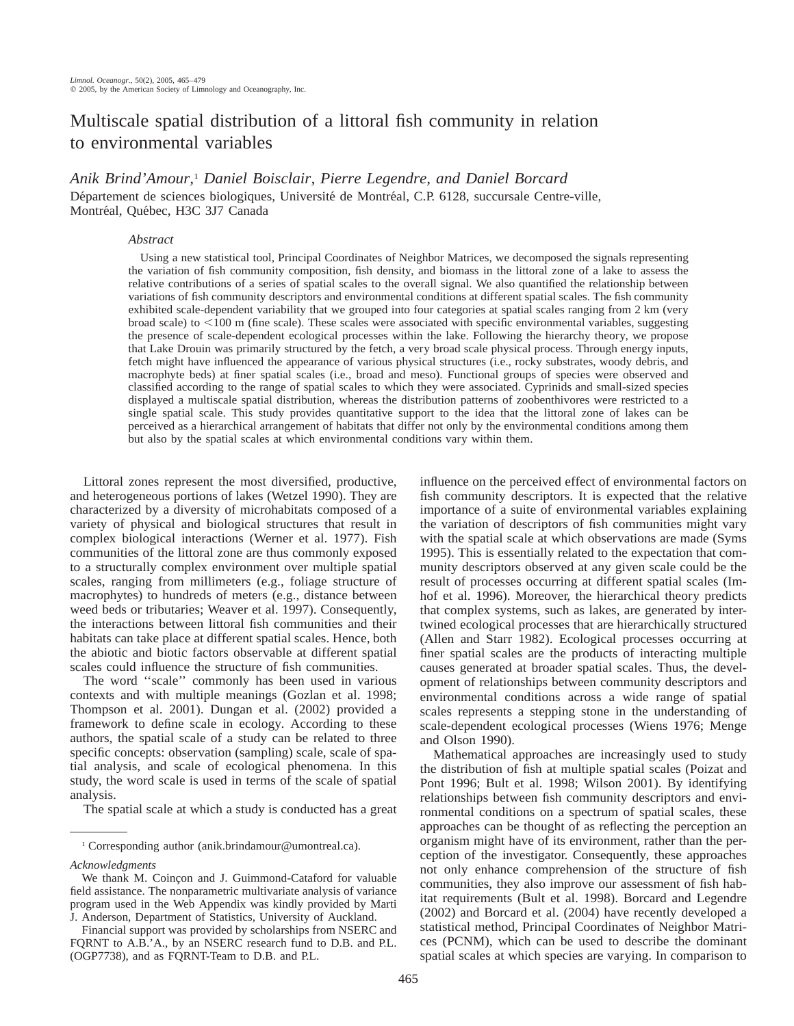## Multiscale spatial distribution of a littoral fish community in relation to environmental variables

*Anik Brind'Amour,*<sup>1</sup> *Daniel Boisclair, Pierre Legendre, and Daniel Borcard* Département de sciences biologiques, Université de Montréal, C.P. 6128, succursale Centre-ville, Montréal, Québec, H3C 3J7 Canada

## *Abstract*

Using a new statistical tool, Principal Coordinates of Neighbor Matrices, we decomposed the signals representing the variation of fish community composition, fish density, and biomass in the littoral zone of a lake to assess the relative contributions of a series of spatial scales to the overall signal. We also quantified the relationship between variations of fish community descriptors and environmental conditions at different spatial scales. The fish community exhibited scale-dependent variability that we grouped into four categories at spatial scales ranging from 2 km (very broad scale) to  $\leq$ 100 m (fine scale). These scales were associated with specific environmental variables, suggesting the presence of scale-dependent ecological processes within the lake. Following the hierarchy theory, we propose that Lake Drouin was primarily structured by the fetch, a very broad scale physical process. Through energy inputs, fetch might have influenced the appearance of various physical structures (i.e., rocky substrates, woody debris, and macrophyte beds) at finer spatial scales (i.e., broad and meso). Functional groups of species were observed and classified according to the range of spatial scales to which they were associated. Cyprinids and small-sized species displayed a multiscale spatial distribution, whereas the distribution patterns of zoobenthivores were restricted to a single spatial scale. This study provides quantitative support to the idea that the littoral zone of lakes can be perceived as a hierarchical arrangement of habitats that differ not only by the environmental conditions among them but also by the spatial scales at which environmental conditions vary within them.

Littoral zones represent the most diversified, productive, and heterogeneous portions of lakes (Wetzel 1990). They are characterized by a diversity of microhabitats composed of a variety of physical and biological structures that result in complex biological interactions (Werner et al. 1977). Fish communities of the littoral zone are thus commonly exposed to a structurally complex environment over multiple spatial scales, ranging from millimeters (e.g., foliage structure of macrophytes) to hundreds of meters (e.g., distance between weed beds or tributaries; Weaver et al. 1997). Consequently, the interactions between littoral fish communities and their habitats can take place at different spatial scales. Hence, both the abiotic and biotic factors observable at different spatial scales could influence the structure of fish communities.

The word ''scale'' commonly has been used in various contexts and with multiple meanings (Gozlan et al. 1998; Thompson et al. 2001). Dungan et al. (2002) provided a framework to define scale in ecology. According to these authors, the spatial scale of a study can be related to three specific concepts: observation (sampling) scale, scale of spatial analysis, and scale of ecological phenomena. In this study, the word scale is used in terms of the scale of spatial analysis.

The spatial scale at which a study is conducted has a great

influence on the perceived effect of environmental factors on fish community descriptors. It is expected that the relative importance of a suite of environmental variables explaining the variation of descriptors of fish communities might vary with the spatial scale at which observations are made (Syms 1995). This is essentially related to the expectation that community descriptors observed at any given scale could be the result of processes occurring at different spatial scales (Imhof et al. 1996). Moreover, the hierarchical theory predicts that complex systems, such as lakes, are generated by intertwined ecological processes that are hierarchically structured (Allen and Starr 1982). Ecological processes occurring at finer spatial scales are the products of interacting multiple causes generated at broader spatial scales. Thus, the development of relationships between community descriptors and environmental conditions across a wide range of spatial scales represents a stepping stone in the understanding of scale-dependent ecological processes (Wiens 1976; Menge and Olson 1990).

Mathematical approaches are increasingly used to study the distribution of fish at multiple spatial scales (Poizat and Pont 1996; Bult et al. 1998; Wilson 2001). By identifying relationships between fish community descriptors and environmental conditions on a spectrum of spatial scales, these approaches can be thought of as reflecting the perception an organism might have of its environment, rather than the perception of the investigator. Consequently, these approaches not only enhance comprehension of the structure of fish communities, they also improve our assessment of fish habitat requirements (Bult et al. 1998). Borcard and Legendre (2002) and Borcard et al. (2004) have recently developed a statistical method, Principal Coordinates of Neighbor Matrices (PCNM), which can be used to describe the dominant spatial scales at which species are varying. In comparison to

<sup>&</sup>lt;sup>1</sup> Corresponding author (anik.brindamour@umontreal.ca).

*Acknowledgments*

We thank M. Coincon and J. Guimmond-Cataford for valuable field assistance. The nonparametric multivariate analysis of variance program used in the Web Appendix was kindly provided by Marti J. Anderson, Department of Statistics, University of Auckland.

Financial support was provided by scholarships from NSERC and FQRNT to A.B.'A., by an NSERC research fund to D.B. and P.L. (OGP7738), and as FQRNT-Team to D.B. and P.L.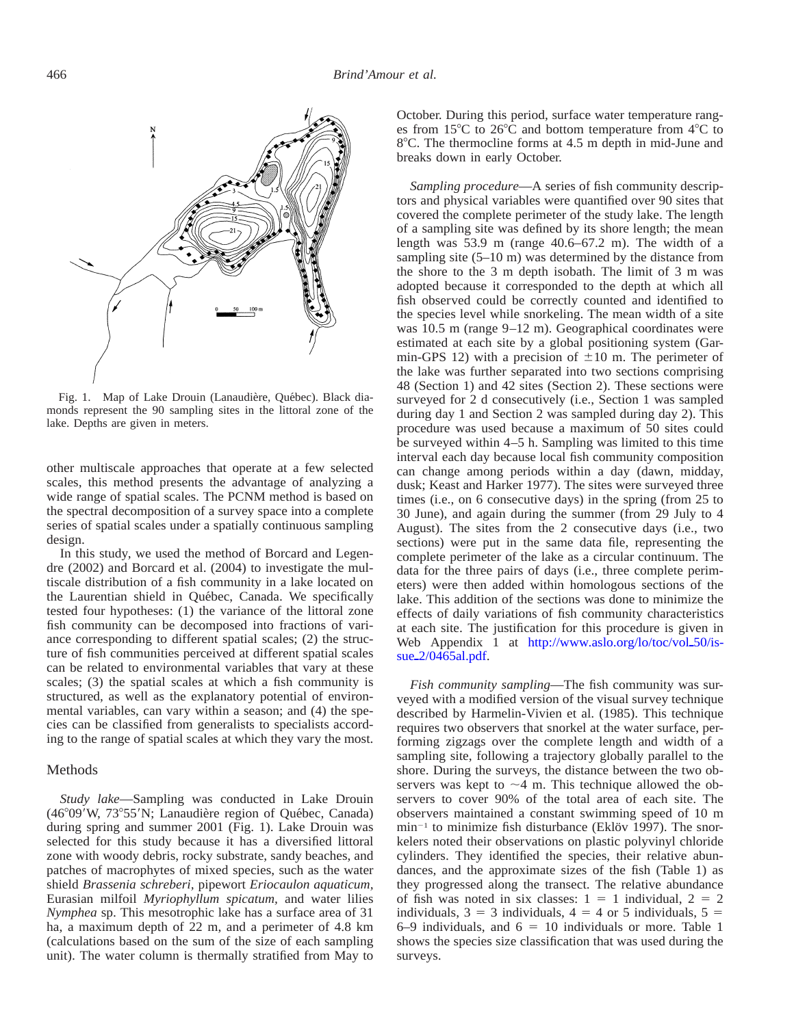

Fig. 1. Map of Lake Drouin (Lanaudière, Québec). Black diamonds represent the 90 sampling sites in the littoral zone of the lake. Depths are given in meters.

other multiscale approaches that operate at a few selected scales, this method presents the advantage of analyzing a wide range of spatial scales. The PCNM method is based on the spectral decomposition of a survey space into a complete series of spatial scales under a spatially continuous sampling design.

In this study, we used the method of Borcard and Legendre (2002) and Borcard et al. (2004) to investigate the multiscale distribution of a fish community in a lake located on the Laurentian shield in Québec, Canada. We specifically tested four hypotheses: (1) the variance of the littoral zone fish community can be decomposed into fractions of variance corresponding to different spatial scales; (2) the structure of fish communities perceived at different spatial scales can be related to environmental variables that vary at these scales; (3) the spatial scales at which a fish community is structured, as well as the explanatory potential of environmental variables, can vary within a season; and (4) the species can be classified from generalists to specialists according to the range of spatial scales at which they vary the most.

## Methods

*Study lake*—Sampling was conducted in Lake Drouin  $(46°09'W, 73°55'N;$  Lanaudière region of Québec, Canada) during spring and summer 2001 (Fig. 1). Lake Drouin was selected for this study because it has a diversified littoral zone with woody debris, rocky substrate, sandy beaches, and patches of macrophytes of mixed species, such as the water shield *Brassenia schreberi,* pipewort *Eriocaulon aquaticum,* Eurasian milfoil *Myriophyllum spicatum,* and water lilies *Nymphea* sp. This mesotrophic lake has a surface area of 31 ha, a maximum depth of 22 m, and a perimeter of 4.8 km (calculations based on the sum of the size of each sampling unit). The water column is thermally stratified from May to

October. During this period, surface water temperature ranges from  $15^{\circ}$ C to  $26^{\circ}$ C and bottom temperature from  $4^{\circ}$ C to 8<sup>°</sup>C. The thermocline forms at 4.5 m depth in mid-June and breaks down in early October.

*Sampling procedure*—A series of fish community descriptors and physical variables were quantified over 90 sites that covered the complete perimeter of the study lake. The length of a sampling site was defined by its shore length; the mean length was  $53.9 \text{ m}$  (range  $40.6 - 67.2 \text{ m}$ ). The width of a sampling site (5–10 m) was determined by the distance from the shore to the 3 m depth isobath. The limit of 3 m was adopted because it corresponded to the depth at which all fish observed could be correctly counted and identified to the species level while snorkeling. The mean width of a site was 10.5 m (range 9–12 m). Geographical coordinates were estimated at each site by a global positioning system (Garmin-GPS 12) with a precision of  $\pm 10$  m. The perimeter of the lake was further separated into two sections comprising 48 (Section 1) and 42 sites (Section 2). These sections were surveyed for 2 d consecutively (i.e., Section 1 was sampled during day 1 and Section 2 was sampled during day 2). This procedure was used because a maximum of 50 sites could be surveyed within 4–5 h. Sampling was limited to this time interval each day because local fish community composition can change among periods within a day (dawn, midday, dusk; Keast and Harker 1977). The sites were surveyed three times (i.e., on 6 consecutive days) in the spring (from 25 to 30 June), and again during the summer (from 29 July to 4 August). The sites from the 2 consecutive days (i.e., two sections) were put in the same data file, representing the complete perimeter of the lake as a circular continuum. The data for the three pairs of days (i.e., three complete perimeters) were then added within homologous sections of the lake. This addition of the sections was done to minimize the effects of daily variations of fish community characteristics [at each site. The justification for this procedure is given in](http://www.aslo.org/lo/toc/vol_50/issue_2/0465a1.pdf) Web Appendix 1 at  $\frac{http://www.aslo.org/lo/toc/vol_50/is-1}{http://www.aslo.org/loc/vol_50/is-1}$ sue\_2/0465al.pdf.

*Fish community sampling*—The fish community was surveyed with a modified version of the visual survey technique described by Harmelin-Vivien et al. (1985). This technique requires two observers that snorkel at the water surface, performing zigzags over the complete length and width of a sampling site, following a trajectory globally parallel to the shore. During the surveys, the distance between the two observers was kept to  $\sim$ 4 m. This technique allowed the observers to cover 90% of the total area of each site. The observers maintained a constant swimming speed of 10 m  $min^{-1}$  to minimize fish disturbance (Eklöv 1997). The snorkelers noted their observations on plastic polyvinyl chloride cylinders. They identified the species, their relative abundances, and the approximate sizes of the fish (Table 1) as they progressed along the transect. The relative abundance of fish was noted in six classes:  $1 = 1$  individual,  $2 = 2$ individuals,  $3 = 3$  individuals,  $4 = 4$  or 5 individuals,  $5 = 1$  $6-9$  individuals, and  $6 = 10$  individuals or more. Table 1 shows the species size classification that was used during the surveys.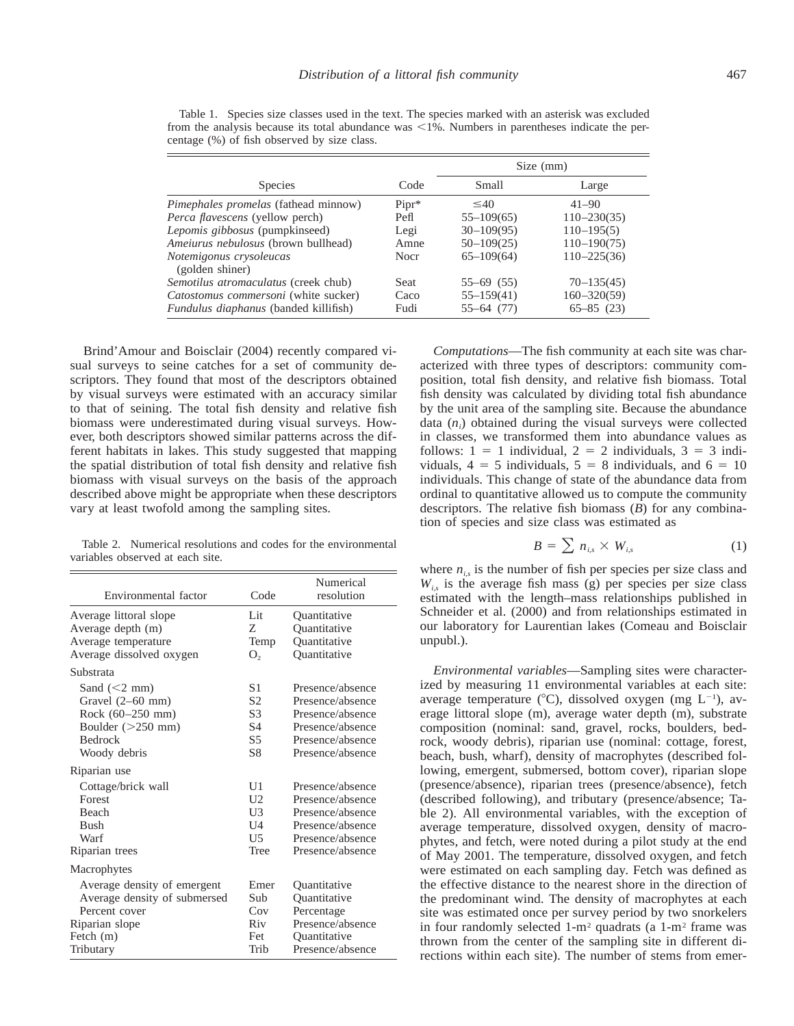|                                                                                      |              | Size (mm)                     |                                     |
|--------------------------------------------------------------------------------------|--------------|-------------------------------|-------------------------------------|
| <b>Species</b>                                                                       | Code         | Small                         | Large                               |
| <i>Pimephales promelas</i> (fathead minnow)                                          | $Pipr*$      | $\leq 40$                     | $41 - 90$                           |
| <i>Perca flavescens</i> (yellow perch)                                               | Pefl         | $55 - 109(65)$                | $110 - 230(35)$                     |
| <i>Lepomis gibbosus</i> (pumpkinseed)                                                | Legi         | $30 - 109(95)$                | $110 - 195(5)$                      |
| Ameiurus nebulosus (brown bullhead)                                                  | Amne         | $50 - 109(25)$                | $110 - 190(75)$                     |
| Notemigonus crysoleucas<br>(golden shiner)                                           | <b>Nocr</b>  | $65 - 109(64)$                | $110 - 225(36)$                     |
| Semotilus atromaculatus (creek chub)                                                 | Seat         | $55-69(55)$                   | $70 - 135(45)$                      |
| Catostomus commersoni (white sucker)<br><i>Fundulus diaphanus</i> (banded killifish) | Caco<br>Fudi | $55 - 159(41)$<br>$55-64(77)$ | $160 - 320(59)$<br>$65 - 85$ $(23)$ |

Table 1. Species size classes used in the text. The species marked with an asterisk was excluded from the analysis because its total abundance was  $\leq$ 1%. Numbers in parentheses indicate the percentage (%) of fish observed by size class.

Brind'Amour and Boisclair (2004) recently compared visual surveys to seine catches for a set of community descriptors. They found that most of the descriptors obtained by visual surveys were estimated with an accuracy similar to that of seining. The total fish density and relative fish biomass were underestimated during visual surveys. However, both descriptors showed similar patterns across the different habitats in lakes. This study suggested that mapping the spatial distribution of total fish density and relative fish biomass with visual surveys on the basis of the approach described above might be appropriate when these descriptors vary at least twofold among the sampling sites.

Table 2. Numerical resolutions and codes for the environmental variables observed at each site.

| Environmental factor         | Code           | Numerical<br>resolution |
|------------------------------|----------------|-------------------------|
| Average littoral slope       | Lit            | Quantitative            |
| Average depth (m)            | Z              | Quantitative            |
| Average temperature          | Temp           | Quantitative            |
| Average dissolved oxygen     | O <sub>2</sub> | Quantitative            |
| Substrata                    |                |                         |
| Sand $(< 2 mm)$              | S <sub>1</sub> | Presence/absence        |
| Gravel $(2-60$ mm)           | S <sub>2</sub> | Presence/absence        |
| Rock $(60-250$ mm)           | S <sub>3</sub> | Presence/absence        |
| Boulder $(>250$ mm)          | <b>S4</b>      | Presence/absence        |
| <b>Bedrock</b>               | S <sub>5</sub> | Presence/absence        |
| Woody debris                 | S <sub>8</sub> | Presence/absence        |
| Riparian use                 |                |                         |
| Cottage/brick wall           | U1.            | Presence/absence        |
| Forest                       | U2             | Presence/absence        |
| Beach                        | U3             | Presence/absence        |
| <b>Bush</b>                  | U <sub>4</sub> | Presence/absence        |
| Warf                         | U <sub>5</sub> | Presence/absence        |
| Riparian trees               | Tree           | Presence/absence        |
| Macrophytes                  |                |                         |
| Average density of emergent  | Emer           | Quantitative            |
| Average density of submersed | Sub            | Quantitative            |
| Percent cover                | Cov            | Percentage              |
| Riparian slope               | Riv            | Presence/absence        |
| Fetch $(m)$                  | <b>Fet</b>     | Quantitative            |
| Tributary                    | Trib           | Presence/absence        |

*Computations*—The fish community at each site was characterized with three types of descriptors: community composition, total fish density, and relative fish biomass. Total fish density was calculated by dividing total fish abundance by the unit area of the sampling site. Because the abundance data (*n<sub>i</sub>*) obtained during the visual surveys were collected in classes, we transformed them into abundance values as follows:  $1 = 1$  individual,  $2 = 2$  individuals,  $3 = 3$  individuals,  $4 = 5$  individuals,  $5 = 8$  individuals, and  $6 = 10$ individuals. This change of state of the abundance data from ordinal to quantitative allowed us to compute the community descriptors. The relative fish biomass (*B*) for any combination of species and size class was estimated as

$$
B = \sum n_{i,s} \times W_{i,s} \tag{1}
$$

where  $n_{i,s}$  is the number of fish per species per size class and  $W_{i,s}$  is the average fish mass (g) per species per size class estimated with the length–mass relationships published in Schneider et al. (2000) and from relationships estimated in our laboratory for Laurentian lakes (Comeau and Boisclair unpubl.).

*Environmental variables*—Sampling sites were characterized by measuring 11 environmental variables at each site: average temperature ( $^{\circ}$ C), dissolved oxygen (mg L<sup>-1</sup>), average littoral slope (m), average water depth (m), substrate composition (nominal: sand, gravel, rocks, boulders, bedrock, woody debris), riparian use (nominal: cottage, forest, beach, bush, wharf), density of macrophytes (described following, emergent, submersed, bottom cover), riparian slope (presence/absence), riparian trees (presence/absence), fetch (described following), and tributary (presence/absence; Table 2). All environmental variables, with the exception of average temperature, dissolved oxygen, density of macrophytes, and fetch, were noted during a pilot study at the end of May 2001. The temperature, dissolved oxygen, and fetch were estimated on each sampling day. Fetch was defined as the effective distance to the nearest shore in the direction of the predominant wind. The density of macrophytes at each site was estimated once per survey period by two snorkelers in four randomly selected 1-m2 quadrats (a 1-m2 frame was thrown from the center of the sampling site in different directions within each site). The number of stems from emer-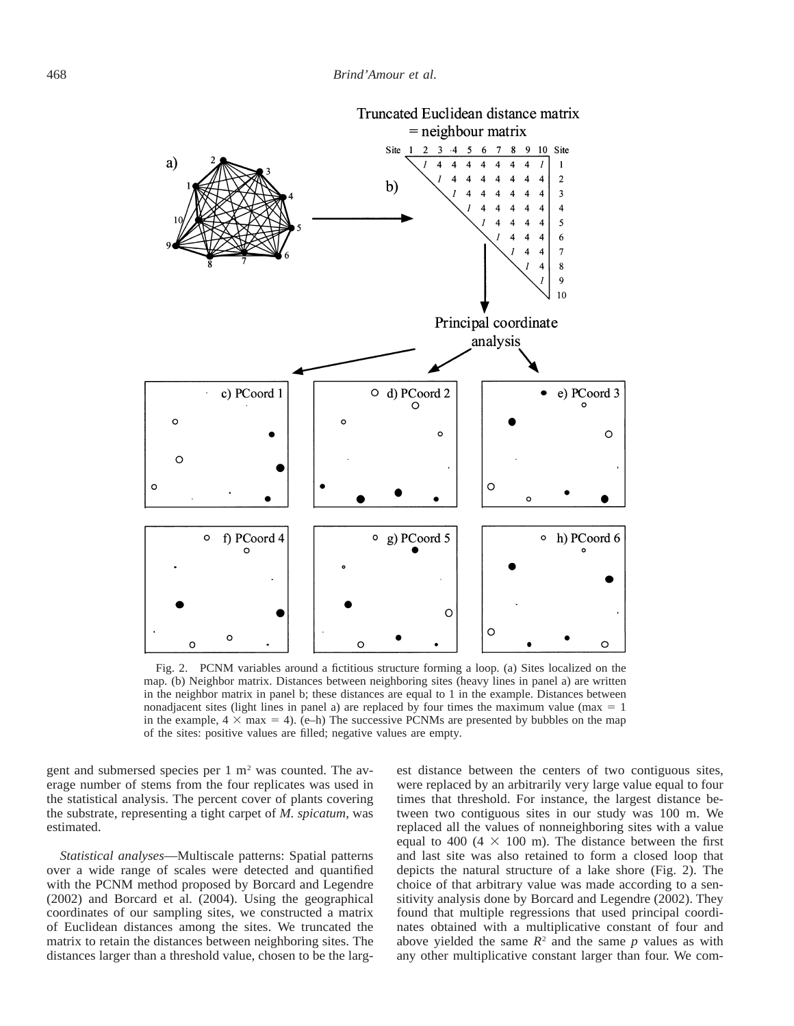

Fig. 2. PCNM variables around a fictitious structure forming a loop. (a) Sites localized on the map. (b) Neighbor matrix. Distances between neighboring sites (heavy lines in panel a) are written in the neighbor matrix in panel b; these distances are equal to 1 in the example. Distances between nonadjacent sites (light lines in panel a) are replaced by four times the maximum value (max  $= 1$ in the example,  $4 \times \text{max} = 4$ ). (e–h) The successive PCNMs are presented by bubbles on the map of the sites: positive values are filled; negative values are empty.

gent and submersed species per 1 m2 was counted. The average number of stems from the four replicates was used in the statistical analysis. The percent cover of plants covering the substrate, representing a tight carpet of *M. spicatum*, was estimated.

*Statistical analyses*—Multiscale patterns: Spatial patterns over a wide range of scales were detected and quantified with the PCNM method proposed by Borcard and Legendre (2002) and Borcard et al. (2004). Using the geographical coordinates of our sampling sites, we constructed a matrix of Euclidean distances among the sites. We truncated the matrix to retain the distances between neighboring sites. The distances larger than a threshold value, chosen to be the larg-

est distance between the centers of two contiguous sites, were replaced by an arbitrarily very large value equal to four times that threshold. For instance, the largest distance between two contiguous sites in our study was 100 m. We replaced all the values of nonneighboring sites with a value equal to 400 (4  $\times$  100 m). The distance between the first and last site was also retained to form a closed loop that depicts the natural structure of a lake shore (Fig. 2). The choice of that arbitrary value was made according to a sensitivity analysis done by Borcard and Legendre (2002). They found that multiple regressions that used principal coordinates obtained with a multiplicative constant of four and above yielded the same  $R^2$  and the same  $p$  values as with any other multiplicative constant larger than four. We com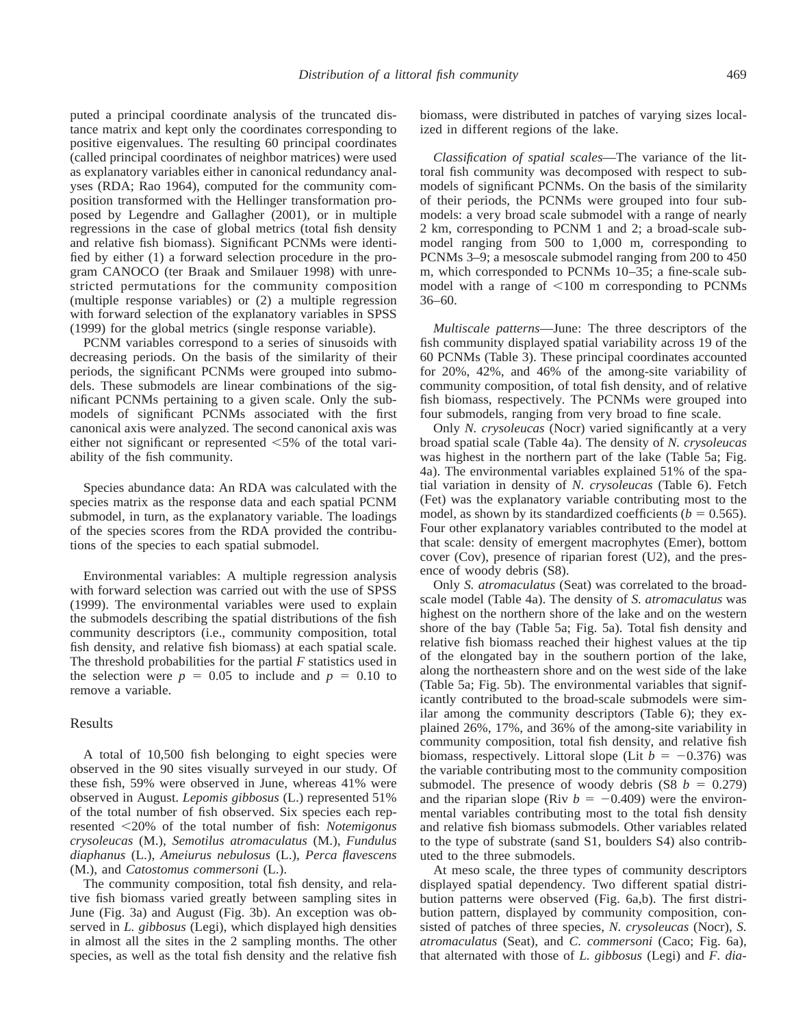puted a principal coordinate analysis of the truncated distance matrix and kept only the coordinates corresponding to positive eigenvalues. The resulting 60 principal coordinates (called principal coordinates of neighbor matrices) were used as explanatory variables either in canonical redundancy analyses (RDA; Rao 1964), computed for the community composition transformed with the Hellinger transformation proposed by Legendre and Gallagher (2001), or in multiple regressions in the case of global metrics (total fish density and relative fish biomass). Significant PCNMs were identified by either (1) a forward selection procedure in the program CANOCO (ter Braak and Smilauer 1998) with unrestricted permutations for the community composition (multiple response variables) or (2) a multiple regression with forward selection of the explanatory variables in SPSS (1999) for the global metrics (single response variable).

PCNM variables correspond to a series of sinusoids with decreasing periods. On the basis of the similarity of their periods, the significant PCNMs were grouped into submodels. These submodels are linear combinations of the significant PCNMs pertaining to a given scale. Only the submodels of significant PCNMs associated with the first canonical axis were analyzed. The second canonical axis was either not significant or represented  $\leq 5\%$  of the total variability of the fish community.

Species abundance data: An RDA was calculated with the species matrix as the response data and each spatial PCNM submodel, in turn, as the explanatory variable. The loadings of the species scores from the RDA provided the contributions of the species to each spatial submodel.

Environmental variables: A multiple regression analysis with forward selection was carried out with the use of SPSS (1999). The environmental variables were used to explain the submodels describing the spatial distributions of the fish community descriptors (i.e., community composition, total fish density, and relative fish biomass) at each spatial scale. The threshold probabilities for the partial *F* statistics used in the selection were  $p = 0.05$  to include and  $p = 0.10$  to remove a variable.

#### Results

A total of 10,500 fish belonging to eight species were observed in the 90 sites visually surveyed in our study. Of these fish, 59% were observed in June, whereas 41% were observed in August. *Lepomis gibbosus* (L.) represented 51% of the total number of fish observed. Six species each represented ,20% of the total number of fish: *Notemigonus crysoleucas* (M.), *Semotilus atromaculatus* (M.), *Fundulus diaphanus* (L.), *Ameiurus nebulosus* (L.), *Perca flavescens* (M.), and *Catostomus commersoni* (L.).

The community composition, total fish density, and relative fish biomass varied greatly between sampling sites in June (Fig. 3a) and August (Fig. 3b). An exception was observed in *L. gibbosus* (Legi), which displayed high densities in almost all the sites in the 2 sampling months. The other species, as well as the total fish density and the relative fish

biomass, were distributed in patches of varying sizes localized in different regions of the lake.

*Classification of spatial scales*—The variance of the littoral fish community was decomposed with respect to submodels of significant PCNMs. On the basis of the similarity of their periods, the PCNMs were grouped into four submodels: a very broad scale submodel with a range of nearly 2 km, corresponding to PCNM 1 and 2; a broad-scale submodel ranging from 500 to 1,000 m, corresponding to PCNMs 3–9; a mesoscale submodel ranging from 200 to 450 m, which corresponded to PCNMs 10–35; a fine-scale submodel with a range of  $\leq 100$  m corresponding to PCNMs 36–60.

*Multiscale patterns*—June: The three descriptors of the fish community displayed spatial variability across 19 of the 60 PCNMs (Table 3). These principal coordinates accounted for 20%, 42%, and 46% of the among-site variability of community composition, of total fish density, and of relative fish biomass, respectively. The PCNMs were grouped into four submodels, ranging from very broad to fine scale.

Only *N. crysoleucas* (Nocr) varied significantly at a very broad spatial scale (Table 4a). The density of *N. crysoleucas* was highest in the northern part of the lake (Table 5a; Fig. 4a). The environmental variables explained 51% of the spatial variation in density of *N. crysoleucas* (Table 6). Fetch (Fet) was the explanatory variable contributing most to the model, as shown by its standardized coefficients  $(b = 0.565)$ . Four other explanatory variables contributed to the model at that scale: density of emergent macrophytes (Emer), bottom cover (Cov), presence of riparian forest (U2), and the presence of woody debris (S8).

Only *S. atromaculatus* (Seat) was correlated to the broadscale model (Table 4a). The density of *S. atromaculatus* was highest on the northern shore of the lake and on the western shore of the bay (Table 5a; Fig. 5a). Total fish density and relative fish biomass reached their highest values at the tip of the elongated bay in the southern portion of the lake, along the northeastern shore and on the west side of the lake (Table 5a; Fig. 5b). The environmental variables that significantly contributed to the broad-scale submodels were similar among the community descriptors (Table 6); they explained 26%, 17%, and 36% of the among-site variability in community composition, total fish density, and relative fish biomass, respectively. Littoral slope (Lit  $b = -0.376$ ) was the variable contributing most to the community composition submodel. The presence of woody debris  $(S8 b = 0.279)$ and the riparian slope (Riv  $b = -0.409$ ) were the environmental variables contributing most to the total fish density and relative fish biomass submodels. Other variables related to the type of substrate (sand S1, boulders S4) also contributed to the three submodels.

At meso scale, the three types of community descriptors displayed spatial dependency. Two different spatial distribution patterns were observed (Fig. 6a,b). The first distribution pattern, displayed by community composition, consisted of patches of three species, *N. crysoleucas* (Nocr), *S. atromaculatus* (Seat), and *C. commersoni* (Caco; Fig. 6a), that alternated with those of *L. gibbosus* (Legi) and *F. dia-*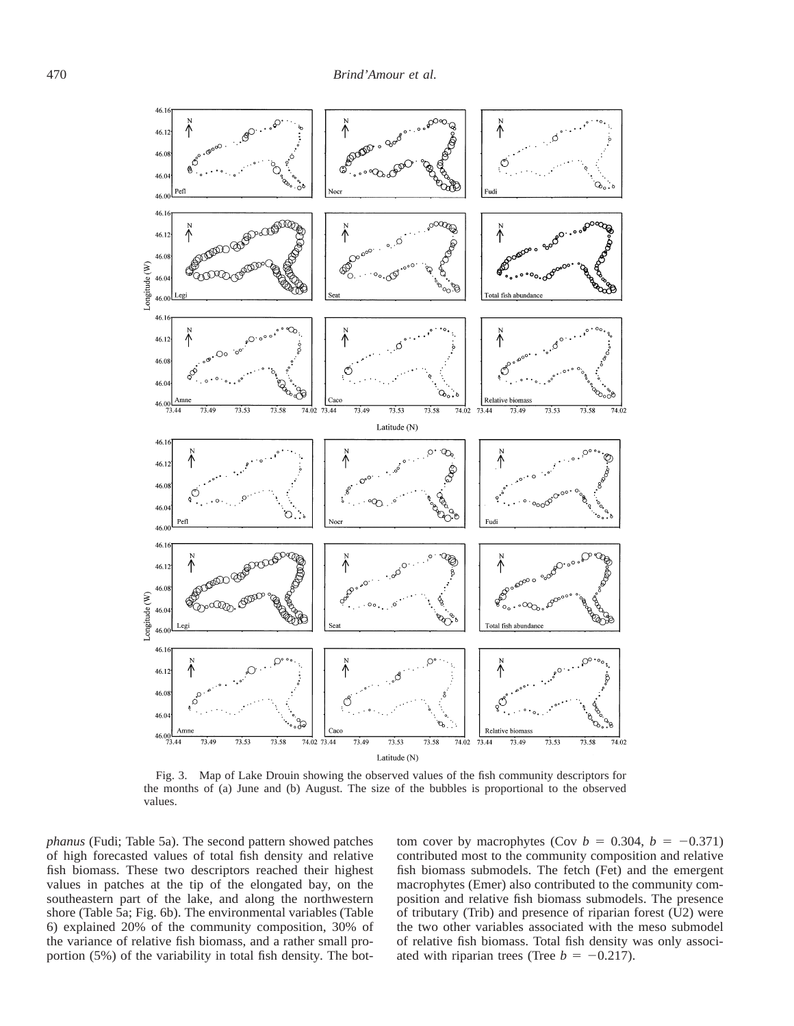

Fig. 3. Map of Lake Drouin showing the observed values of the fish community descriptors for the months of (a) June and (b) August. The size of the bubbles is proportional to the observed values.

*phanus* (Fudi; Table 5a). The second pattern showed patches of high forecasted values of total fish density and relative fish biomass. These two descriptors reached their highest values in patches at the tip of the elongated bay, on the southeastern part of the lake, and along the northwestern shore (Table 5a; Fig. 6b). The environmental variables (Table 6) explained 20% of the community composition, 30% of the variance of relative fish biomass, and a rather small proportion (5%) of the variability in total fish density. The bot-

tom cover by macrophytes (Cov  $b = 0.304$ ,  $b = -0.371$ ) contributed most to the community composition and relative fish biomass submodels. The fetch (Fet) and the emergent macrophytes (Emer) also contributed to the community composition and relative fish biomass submodels. The presence of tributary (Trib) and presence of riparian forest (U2) were the two other variables associated with the meso submodel of relative fish biomass. Total fish density was only associated with riparian trees (Tree  $b = -0.217$ ).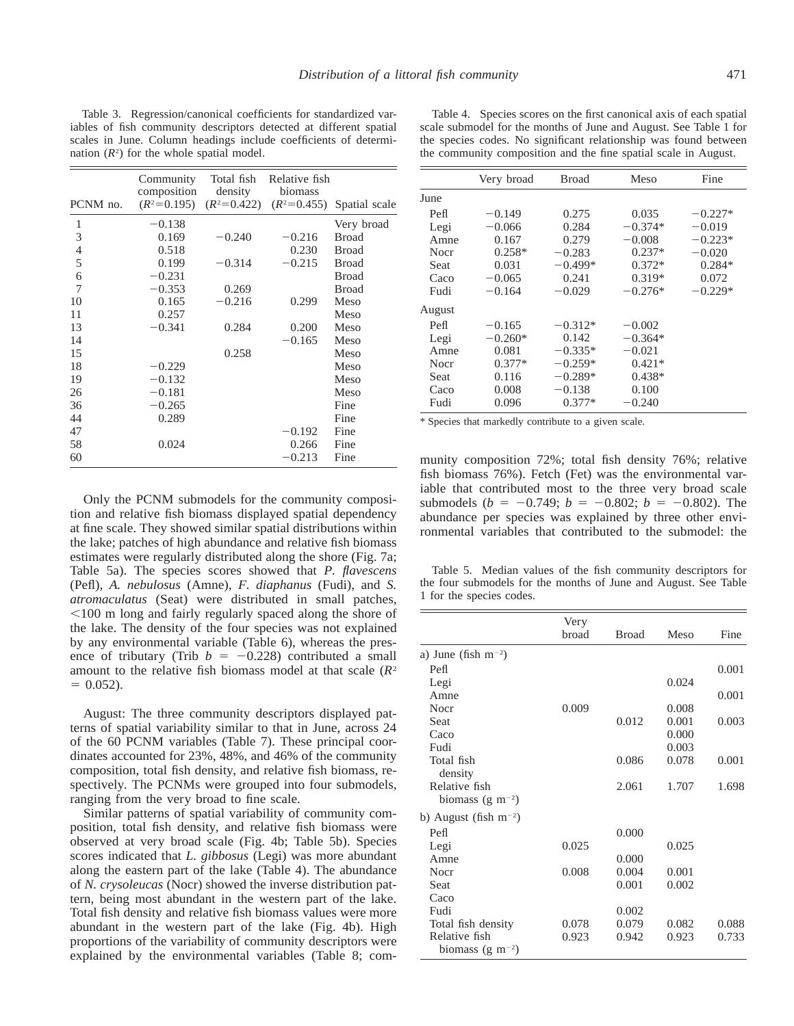| PCNM no.       | Community<br>composition<br>$(R^2=0.195)$ | Total fish<br>density<br>$(R^2=0.422)$ | Relative fish<br>biomass<br>$(R^2=0.455)$ | Spatial scale |
|----------------|-------------------------------------------|----------------------------------------|-------------------------------------------|---------------|
| 1              | $-0.138$                                  |                                        |                                           | Very broad    |
| 3              | 0.169                                     | $-0.240$                               | $-0.216$                                  | <b>Broad</b>  |
| $\overline{4}$ | 0.518                                     |                                        | 0.230                                     | <b>Broad</b>  |
| 5              | 0.199                                     | $-0.314$                               | $-0.215$                                  | Broad         |
| 6              | $-0.231$                                  |                                        |                                           | <b>Broad</b>  |
| 7              | $-0.353$                                  | 0.269                                  |                                           | <b>Broad</b>  |
| 10             | 0.165                                     | $-0.216$                               | 0.299                                     | Meso          |
| 11             | 0.257                                     |                                        |                                           | Meso          |
| 13             | $-0.341$                                  | 0.284                                  | 0.200                                     | Meso          |
| 14             |                                           |                                        | $-0.165$                                  | Meso          |
| 15             |                                           | 0.258                                  |                                           | Meso          |
| 18             | $-0.229$                                  |                                        |                                           | Meso          |
| 19             | $-0.132$                                  |                                        |                                           | Meso          |
| 26             | $-0.181$                                  |                                        |                                           | Meso          |
| 36             | $-0.265$                                  |                                        |                                           | Fine          |
| 44             | 0.289                                     |                                        |                                           | Fine          |
| 47             |                                           |                                        | $-0.192$                                  | Fine          |
| 58             | 0.024                                     |                                        | 0.266                                     | Fine          |
| 60             |                                           |                                        | $-0.213$                                  | Fine          |

Table 3. Regression/canonical coefficients for standardized variables of fish community descriptors detected at different spatial scales in June. Column headings include coefficients of determination  $(R^2)$  for the whole spatial model.

Only the PCNM submodels for the community composition and relative fish biomass displayed spatial dependency at fine scale. They showed similar spatial distributions within the lake; patches of high abundance and relative fish biomass estimates were regularly distributed along the shore (Fig. 7a; Table 5a). The species scores showed that *P. flavescens* (Pefl), *A. nebulosus* (Amne), *F. diaphanus* (Fudi), and *S. atromaculatus* (Seat) were distributed in small patches, ,100 m long and fairly regularly spaced along the shore of the lake. The density of the four species was not explained by any environmental variable (Table 6), whereas the presence of tributary (Trib  $b = -0.228$ ) contributed a small amount to the relative fish biomass model at that scale (*R*<sup>2</sup>  $= 0.052$ ).

August: The three community descriptors displayed patterns of spatial variability similar to that in June, across 24 of the 60 PCNM variables (Table 7). These principal coordinates accounted for 23%, 48%, and 46% of the community composition, total fish density, and relative fish biomass, respectively. The PCNMs were grouped into four submodels, ranging from the very broad to fine scale.

Similar patterns of spatial variability of community composition, total fish density, and relative fish biomass were observed at very broad scale (Fig. 4b; Table 5b). Species scores indicated that *L. gibbosus* (Legi) was more abundant along the eastern part of the lake (Table 4). The abundance of *N. crysoleucas* (Nocr) showed the inverse distribution pattern, being most abundant in the western part of the lake. Total fish density and relative fish biomass values were more abundant in the western part of the lake (Fig. 4b). High proportions of the variability of community descriptors were explained by the environmental variables (Table 8; com-

Table 4. Species scores on the first canonical axis of each spatial scale submodel for the months of June and August. See Table 1 for the species codes. No significant relationship was found between the community composition and the fine spatial scale in August.

|        | Very broad | <b>Broad</b> | Meso      | Fine      |
|--------|------------|--------------|-----------|-----------|
| June   |            |              |           |           |
| Pefl   | $-0.149$   | 0.275        | 0.035     | $-0.227*$ |
| Legi   | $-0.066$   | 0.284        | $-0.374*$ | $-0.019$  |
| Amne   | 0.167      | 0.279        | $-0.008$  | $-0.223*$ |
| Nocr   | $0.258*$   | $-0.283$     | $0.237*$  | $-0.020$  |
| Seat   | 0.031      | $-0.499*$    | $0.372*$  | $0.284*$  |
| Caco   | $-0.065$   | 0.241        | $0.319*$  | 0.072     |
| Fudi   | $-0.164$   | $-0.029$     | $-0.276*$ | $-0.229*$ |
| August |            |              |           |           |
| Pefl   | $-0.165$   | $-0.312*$    | $-0.002$  |           |
| Legi   | $-0.260*$  | 0.142        | $-0.364*$ |           |
| Amne   | 0.081      | $-0.335*$    | $-0.021$  |           |
| Nocr   | $0.377*$   | $-0.259*$    | $0.421*$  |           |
| Seat   | 0.116      | $-0.289*$    | $0.438*$  |           |
| Caco   | 0.008      | $-0.138$     | 0.100     |           |
| Fudi   | 0.096      | $0.377*$     | $-0.240$  |           |

\* Species that markedly contribute to a given scale.

munity composition 72%; total fish density 76%; relative fish biomass 76%). Fetch (Fet) was the environmental variable that contributed most to the three very broad scale submodels ( $b = -0.749$ ;  $b = -0.802$ ;  $b = -0.802$ ). The abundance per species was explained by three other environmental variables that contributed to the submodel: the

Table 5. Median values of the fish community descriptors for the four submodels for the months of June and August. See Table 1 for the species codes.

|                                          | Very  |              |       |       |
|------------------------------------------|-------|--------------|-------|-------|
|                                          | broad | <b>Broad</b> | Meso  | Fine  |
| a) June (fish $m^{-2}$ )                 |       |              |       |       |
| Pefl                                     |       |              |       | 0.001 |
| Legi                                     |       |              | 0.024 |       |
| Amne                                     |       |              |       | 0.001 |
| Nocr                                     | 0.009 |              | 0.008 |       |
| Seat                                     |       | 0.012        | 0.001 | 0.003 |
| Caco                                     |       |              | 0.000 |       |
| Fudi                                     |       |              | 0.003 |       |
| Total fish<br>density                    |       | 0.086        | 0.078 | 0.001 |
| Relative fish<br>biomass $(g \, m^{-2})$ |       | 2.061        | 1.707 | 1.698 |
| b) August (fish $m^{-2}$ )               |       |              |       |       |
| Pefl                                     |       | 0.000        |       |       |
| Legi                                     | 0.025 |              | 0.025 |       |
| Amne                                     |       | 0.000        |       |       |
| Nocr                                     | 0.008 | 0.004        | 0.001 |       |
| Seat                                     |       | 0.001        | 0.002 |       |
| Caco                                     |       |              |       |       |
| Fudi                                     |       | 0.002        |       |       |
| Total fish density                       | 0.078 | 0.079        | 0.082 | 0.088 |
| Relative fish                            | 0.923 | 0.942        | 0.923 | 0.733 |
| biomass $(g \, m^{-2})$                  |       |              |       |       |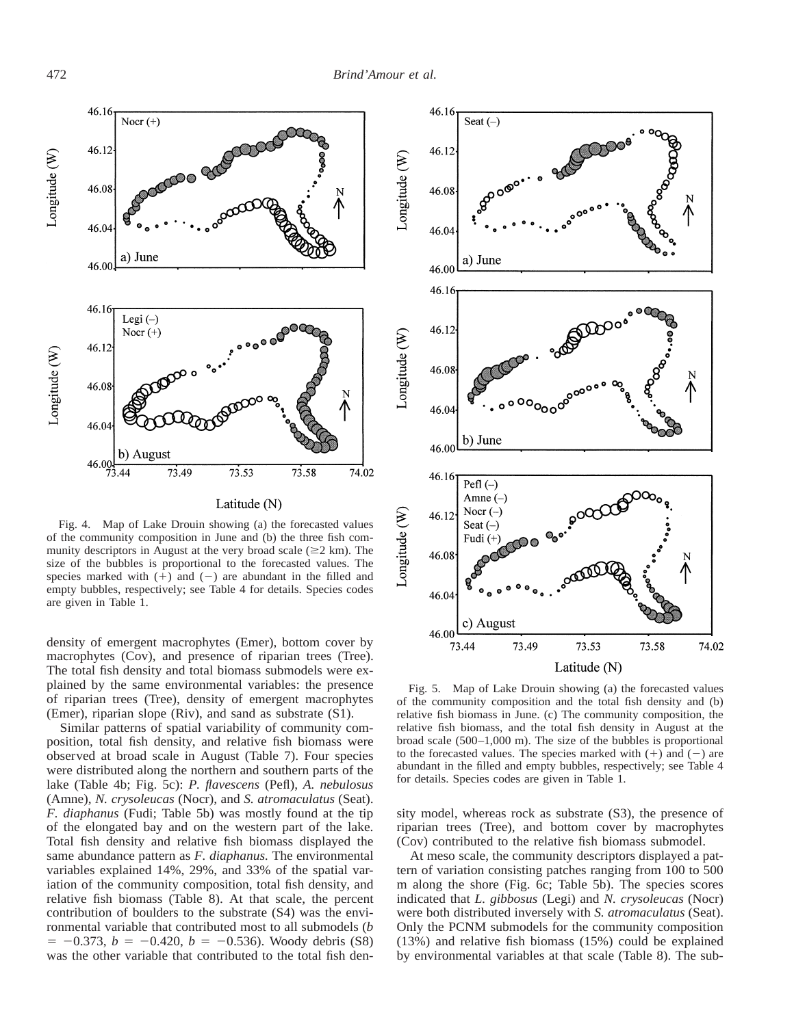

Fig. 4. Map of Lake Drouin showing (a) the forecasted values of the community composition in June and (b) the three fish community descriptors in August at the very broad scale ( $\geq$ 2 km). The size of the bubbles is proportional to the forecasted values. The species marked with  $(+)$  and  $(-)$  are abundant in the filled and empty bubbles, respectively; see Table 4 for details. Species codes are given in Table 1.

density of emergent macrophytes (Emer), bottom cover by macrophytes (Cov), and presence of riparian trees (Tree). The total fish density and total biomass submodels were explained by the same environmental variables: the presence of riparian trees (Tree), density of emergent macrophytes (Emer), riparian slope (Riv), and sand as substrate (S1).

Similar patterns of spatial variability of community composition, total fish density, and relative fish biomass were observed at broad scale in August (Table 7). Four species were distributed along the northern and southern parts of the lake (Table 4b; Fig. 5c): *P. flavescens* (Pefl), *A. nebulosus* (Amne), *N. crysoleucas* (Nocr), and *S. atromaculatus* (Seat). *F. diaphanus* (Fudi; Table 5b) was mostly found at the tip of the elongated bay and on the western part of the lake. Total fish density and relative fish biomass displayed the same abundance pattern as *F. diaphanus.* The environmental variables explained 14%, 29%, and 33% of the spatial variation of the community composition, total fish density, and relative fish biomass (Table 8). At that scale, the percent contribution of boulders to the substrate (S4) was the environmental variable that contributed most to all submodels (*b*  $= -0.373$ ,  $b = -0.420$ ,  $b = -0.536$ ). Woody debris (S8) was the other variable that contributed to the total fish den-



Fig. 5. Map of Lake Drouin showing (a) the forecasted values of the community composition and the total fish density and (b) relative fish biomass in June. (c) The community composition, the relative fish biomass, and the total fish density in August at the broad scale (500–1,000 m). The size of the bubbles is proportional to the forecasted values. The species marked with  $(+)$  and  $(-)$  are abundant in the filled and empty bubbles, respectively; see Table 4 for details. Species codes are given in Table 1.

sity model, whereas rock as substrate (S3), the presence of riparian trees (Tree), and bottom cover by macrophytes (Cov) contributed to the relative fish biomass submodel.

At meso scale, the community descriptors displayed a pattern of variation consisting patches ranging from 100 to 500 m along the shore (Fig. 6c; Table 5b). The species scores indicated that *L. gibbosus* (Legi) and *N. crysoleucas* (Nocr) were both distributed inversely with *S. atromaculatus* (Seat). Only the PCNM submodels for the community composition (13%) and relative fish biomass (15%) could be explained by environmental variables at that scale (Table 8). The sub-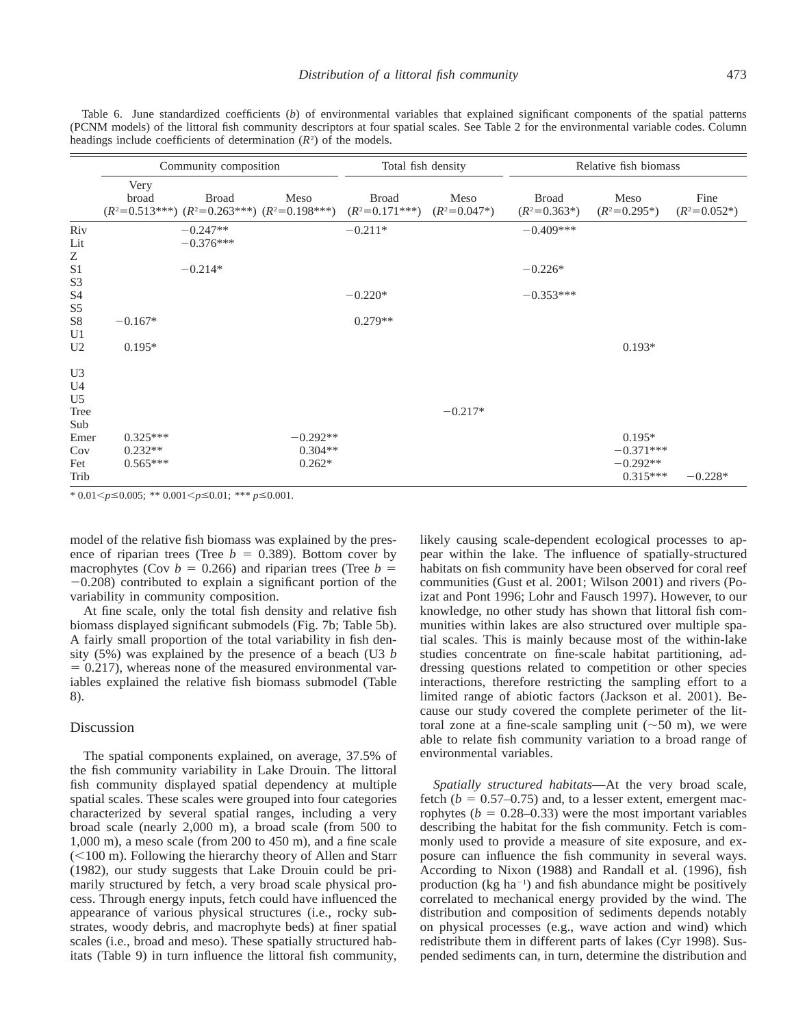Table 6. June standardized coefficients (*b*) of environmental variables that explained significant components of the spatial patterns (PCNM models) of the littoral fish community descriptors at four spatial scales. See Table 2 for the environmental variable codes. Column headings include coefficients of determination (*R*<sup>2</sup> ) of the models.

|                                                       |                                       | Community composition     |                                                            | Total fish density               |                         |                                 | Relative fish biomass                               |                         |
|-------------------------------------------------------|---------------------------------------|---------------------------|------------------------------------------------------------|----------------------------------|-------------------------|---------------------------------|-----------------------------------------------------|-------------------------|
|                                                       | Very<br>broad                         | <b>Broad</b>              | Meso<br>$(R^2=0.513***)$ $(R^2=0.263***)$ $(R^2=0.198***)$ | <b>Broad</b><br>$(R^2=0.171***)$ | Meso<br>$(R^2=0.047^*)$ | <b>Broad</b><br>$(R^2=0.363^*)$ | Meso<br>$(R^2=0.295^*)$                             | Fine<br>$(R^2=0.052^*)$ |
| Riv<br>Lit<br>Z                                       |                                       | $-0.247**$<br>$-0.376***$ |                                                            | $-0.211*$                        |                         | $-0.409***$                     |                                                     |                         |
| S1<br>S3                                              |                                       | $-0.214*$                 |                                                            |                                  |                         | $-0.226*$                       |                                                     |                         |
| S <sub>4</sub><br>S5                                  |                                       |                           |                                                            | $-0.220*$                        |                         | $-0.353***$                     |                                                     |                         |
| S8<br>U <sub>1</sub>                                  | $-0.167*$                             |                           |                                                            | $0.279**$                        |                         |                                 |                                                     |                         |
| U <sub>2</sub>                                        | $0.195*$                              |                           |                                                            |                                  |                         |                                 | $0.193*$                                            |                         |
| U3<br>U <sub>4</sub><br>U <sub>5</sub><br>Tree<br>Sub |                                       |                           |                                                            |                                  | $-0.217*$               |                                 |                                                     |                         |
| Emer<br>Cov<br>Fet<br>Trib                            | $0.325***$<br>$0.232**$<br>$0.565***$ |                           | $-0.292**$<br>$0.304**$<br>$0.262*$                        |                                  |                         |                                 | $0.195*$<br>$-0.371***$<br>$-0.292**$<br>$0.315***$ | $-0.228*$               |

 $* 0.01 < p \le 0.005$ ; \*\*  $0.001 < p \le 0.01$ ; \*\*\*  $p \le 0.001$ .

model of the relative fish biomass was explained by the presence of riparian trees (Tree  $b = 0.389$ ). Bottom cover by macrophytes (Cov  $b = 0.266$ ) and riparian trees (Tree  $b =$  $-0.208$ ) contributed to explain a significant portion of the variability in community composition.

At fine scale, only the total fish density and relative fish biomass displayed significant submodels (Fig. 7b; Table 5b). A fairly small proportion of the total variability in fish density (5%) was explained by the presence of a beach (U3 *b*  $= 0.217$ ), whereas none of the measured environmental variables explained the relative fish biomass submodel (Table 8).

### Discussion

The spatial components explained, on average, 37.5% of the fish community variability in Lake Drouin. The littoral fish community displayed spatial dependency at multiple spatial scales. These scales were grouped into four categories characterized by several spatial ranges, including a very broad scale (nearly 2,000 m), a broad scale (from 500 to 1,000 m), a meso scale (from 200 to 450 m), and a fine scale  $(<100$  m). Following the hierarchy theory of Allen and Starr (1982), our study suggests that Lake Drouin could be primarily structured by fetch, a very broad scale physical process. Through energy inputs, fetch could have influenced the appearance of various physical structures (i.e., rocky substrates, woody debris, and macrophyte beds) at finer spatial scales (i.e., broad and meso). These spatially structured habitats (Table 9) in turn influence the littoral fish community,

likely causing scale-dependent ecological processes to appear within the lake. The influence of spatially-structured habitats on fish community have been observed for coral reef communities (Gust et al. 2001; Wilson 2001) and rivers (Poizat and Pont 1996; Lohr and Fausch 1997). However, to our knowledge, no other study has shown that littoral fish communities within lakes are also structured over multiple spatial scales. This is mainly because most of the within-lake studies concentrate on fine-scale habitat partitioning, addressing questions related to competition or other species interactions, therefore restricting the sampling effort to a limited range of abiotic factors (Jackson et al. 2001). Because our study covered the complete perimeter of the littoral zone at a fine-scale sampling unit ( $\sim$ 50 m), we were able to relate fish community variation to a broad range of environmental variables.

*Spatially structured habitats*—At the very broad scale, fetch  $(b = 0.57{\text -}0.75)$  and, to a lesser extent, emergent macrophytes ( $b = 0.28{\text -}0.33$ ) were the most important variables describing the habitat for the fish community. Fetch is commonly used to provide a measure of site exposure, and exposure can influence the fish community in several ways. According to Nixon (1988) and Randall et al. (1996), fish production ( $kg \text{ ha}^{-1}$ ) and fish abundance might be positively correlated to mechanical energy provided by the wind. The distribution and composition of sediments depends notably on physical processes (e.g., wave action and wind) which redistribute them in different parts of lakes (Cyr 1998). Suspended sediments can, in turn, determine the distribution and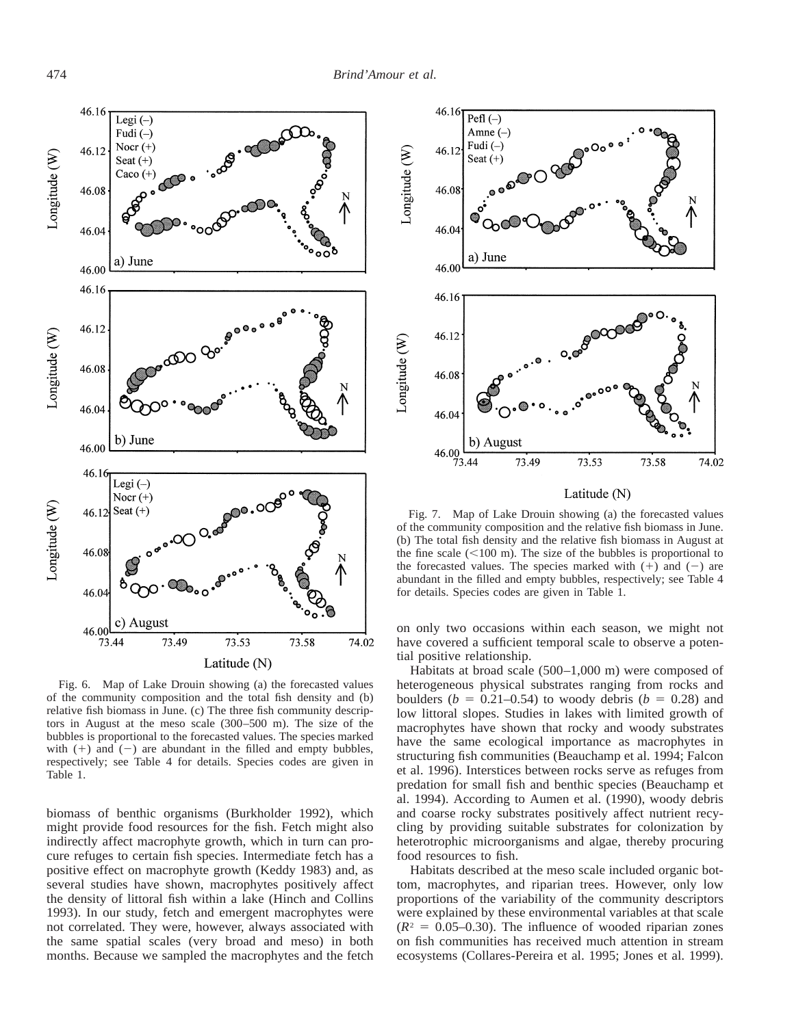

Fig. 6. Map of Lake Drouin showing (a) the forecasted values of the community composition and the total fish density and (b) relative fish biomass in June. (c) The three fish community descriptors in August at the meso scale (300–500 m). The size of the bubbles is proportional to the forecasted values. The species marked with  $(+)$  and  $(-)$  are abundant in the filled and empty bubbles, respectively; see Table 4 for details. Species codes are given in Table 1.

biomass of benthic organisms (Burkholder 1992), which might provide food resources for the fish. Fetch might also indirectly affect macrophyte growth, which in turn can procure refuges to certain fish species. Intermediate fetch has a positive effect on macrophyte growth (Keddy 1983) and, as several studies have shown, macrophytes positively affect the density of littoral fish within a lake (Hinch and Collins 1993). In our study, fetch and emergent macrophytes were not correlated. They were, however, always associated with the same spatial scales (very broad and meso) in both months. Because we sampled the macrophytes and the fetch



Fig. 7. Map of Lake Drouin showing (a) the forecasted values of the community composition and the relative fish biomass in June. (b) The total fish density and the relative fish biomass in August at the fine scale  $(<100 \text{ m})$ . The size of the bubbles is proportional to the forecasted values. The species marked with  $(+)$  and  $(-)$  are abundant in the filled and empty bubbles, respectively; see Table 4 for details. Species codes are given in Table 1.

on only two occasions within each season, we might not have covered a sufficient temporal scale to observe a potential positive relationship.

Habitats at broad scale (500–1,000 m) were composed of heterogeneous physical substrates ranging from rocks and boulders ( $b = 0.21{\text -}0.54$ ) to woody debris ( $b = 0.28$ ) and low littoral slopes. Studies in lakes with limited growth of macrophytes have shown that rocky and woody substrates have the same ecological importance as macrophytes in structuring fish communities (Beauchamp et al. 1994; Falcon et al. 1996). Interstices between rocks serve as refuges from predation for small fish and benthic species (Beauchamp et al. 1994). According to Aumen et al. (1990), woody debris and coarse rocky substrates positively affect nutrient recycling by providing suitable substrates for colonization by heterotrophic microorganisms and algae, thereby procuring food resources to fish.

Habitats described at the meso scale included organic bottom, macrophytes, and riparian trees. However, only low proportions of the variability of the community descriptors were explained by these environmental variables at that scale  $(R^2 = 0.05{\text -}0.30)$ . The influence of wooded riparian zones on fish communities has received much attention in stream ecosystems (Collares-Pereira et al. 1995; Jones et al. 1999).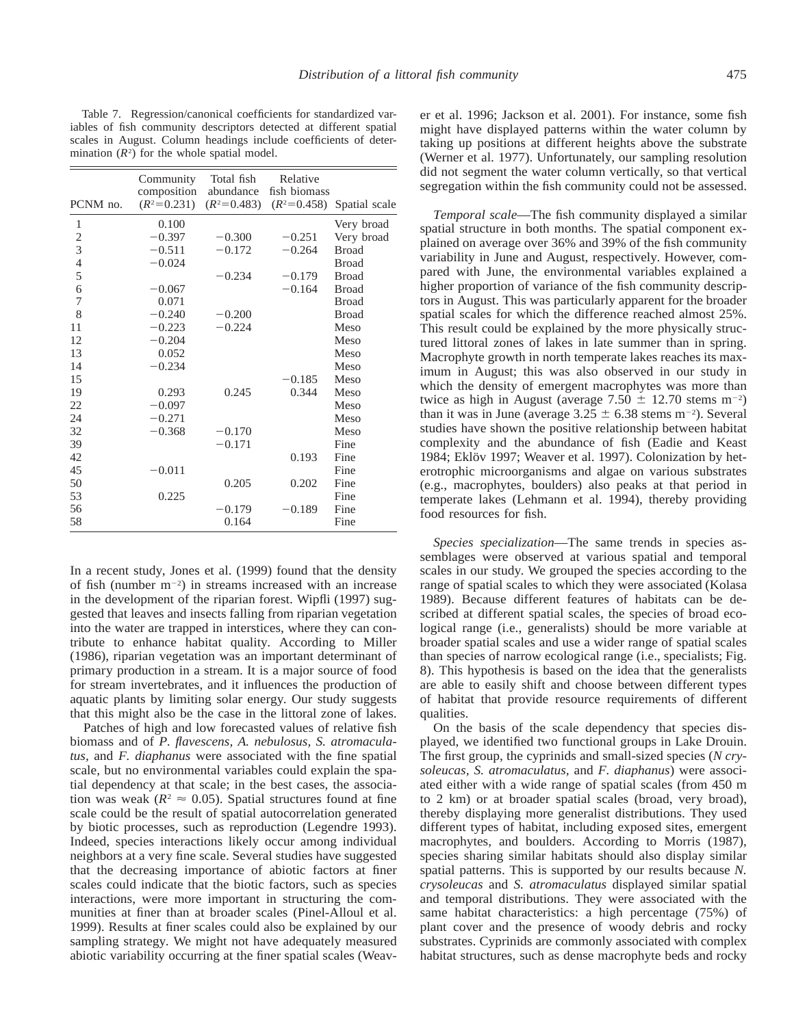|                | Community     | Total fish    | Relative      |               |
|----------------|---------------|---------------|---------------|---------------|
|                | composition   | abundance     | fish biomass  |               |
| PCNM no.       | $(R^2=0.231)$ | $(R^2=0.483)$ | $(R^2=0.458)$ | Spatial scale |
| 1              | 0.100         |               |               | Very broad    |
| $\overline{c}$ | $-0.397$      | $-0.300$      | $-0.251$      | Very broad    |
| 3              | $-0.511$      | $-0.172$      | $-0.264$      | <b>Broad</b>  |
| $\overline{4}$ | $-0.024$      |               |               | <b>Broad</b>  |
| 5              |               | $-0.234$      | $-0.179$      | <b>Broad</b>  |
| 6              | $-0.067$      |               | $-0.164$      | <b>Broad</b>  |
| 7              | 0.071         |               |               | <b>Broad</b>  |
| 8              | $-0.240$      | $-0.200$      |               | <b>Broad</b>  |
| 11             | $-0.223$      | $-0.224$      |               | Meso          |
| 12             | $-0.204$      |               |               | Meso          |
| 13             | 0.052         |               |               | Meso          |
| 14             | $-0.234$      |               |               | Meso          |
| 15             |               |               | $-0.185$      | Meso          |
| 19             | 0.293         | 0.245         | 0.344         | Meso          |
| 22             | $-0.097$      |               |               | Meso          |
| 24             | $-0.271$      |               |               | Meso          |
| 32             | $-0.368$      | $-0.170$      |               | Meso          |
| 39             |               | $-0.171$      |               | Fine          |
| 42             |               |               | 0.193         | Fine          |
| 45             | $-0.011$      |               |               | Fine          |
| 50             |               | 0.205         | 0.202         | Fine          |
| 53             | 0.225         |               |               | Fine          |
| 56             |               | $-0.179$      | $-0.189$      | Fine          |
| 58             |               | 0.164         |               | Fine          |

Table 7. Regression/canonical coefficients for standardized variables of fish community descriptors detected at different spatial scales in August. Column headings include coefficients of determination  $(R^2)$  for the whole spatial model.

In a recent study, Jones et al. (1999) found that the density of fish (number  $m^{-2}$ ) in streams increased with an increase in the development of the riparian forest. Wipfli (1997) suggested that leaves and insects falling from riparian vegetation into the water are trapped in interstices, where they can contribute to enhance habitat quality. According to Miller (1986), riparian vegetation was an important determinant of primary production in a stream. It is a major source of food for stream invertebrates, and it influences the production of aquatic plants by limiting solar energy. Our study suggests that this might also be the case in the littoral zone of lakes.

Patches of high and low forecasted values of relative fish biomass and of *P. flavescens, A. nebulosus, S. atromaculatus,* and *F. diaphanus* were associated with the fine spatial scale, but no environmental variables could explain the spatial dependency at that scale; in the best cases, the association was weak ( $R^2 \approx 0.05$ ). Spatial structures found at fine scale could be the result of spatial autocorrelation generated by biotic processes, such as reproduction (Legendre 1993). Indeed, species interactions likely occur among individual neighbors at a very fine scale. Several studies have suggested that the decreasing importance of abiotic factors at finer scales could indicate that the biotic factors, such as species interactions, were more important in structuring the communities at finer than at broader scales (Pinel-Alloul et al. 1999). Results at finer scales could also be explained by our sampling strategy. We might not have adequately measured abiotic variability occurring at the finer spatial scales (Weav-

er et al. 1996; Jackson et al. 2001). For instance, some fish might have displayed patterns within the water column by taking up positions at different heights above the substrate (Werner et al. 1977). Unfortunately, our sampling resolution did not segment the water column vertically, so that vertical segregation within the fish community could not be assessed.

*Temporal scale*—The fish community displayed a similar spatial structure in both months. The spatial component explained on average over 36% and 39% of the fish community variability in June and August, respectively. However, compared with June, the environmental variables explained a higher proportion of variance of the fish community descriptors in August. This was particularly apparent for the broader spatial scales for which the difference reached almost 25%. This result could be explained by the more physically structured littoral zones of lakes in late summer than in spring. Macrophyte growth in north temperate lakes reaches its maximum in August; this was also observed in our study in which the density of emergent macrophytes was more than twice as high in August (average  $7.50 \pm 12.70$  stems m<sup>-2</sup>) than it was in June (average  $3.25 \pm 6.38$  stems m<sup>-2</sup>). Several studies have shown the positive relationship between habitat complexity and the abundance of fish (Eadie and Keast 1984; Eklöv 1997; Weaver et al. 1997). Colonization by heterotrophic microorganisms and algae on various substrates (e.g., macrophytes, boulders) also peaks at that period in temperate lakes (Lehmann et al. 1994), thereby providing food resources for fish.

*Species specialization*—The same trends in species assemblages were observed at various spatial and temporal scales in our study. We grouped the species according to the range of spatial scales to which they were associated (Kolasa 1989). Because different features of habitats can be described at different spatial scales, the species of broad ecological range (i.e., generalists) should be more variable at broader spatial scales and use a wider range of spatial scales than species of narrow ecological range (i.e., specialists; Fig. 8). This hypothesis is based on the idea that the generalists are able to easily shift and choose between different types of habitat that provide resource requirements of different qualities.

On the basis of the scale dependency that species displayed, we identified two functional groups in Lake Drouin. The first group, the cyprinids and small-sized species (*N crysoleucas, S. atromaculatus,* and *F. diaphanus*) were associated either with a wide range of spatial scales (from 450 m to 2 km) or at broader spatial scales (broad, very broad), thereby displaying more generalist distributions. They used different types of habitat, including exposed sites, emergent macrophytes, and boulders. According to Morris (1987), species sharing similar habitats should also display similar spatial patterns. This is supported by our results because *N. crysoleucas* and *S. atromaculatus* displayed similar spatial and temporal distributions. They were associated with the same habitat characteristics: a high percentage (75%) of plant cover and the presence of woody debris and rocky substrates. Cyprinids are commonly associated with complex habitat structures, such as dense macrophyte beds and rocky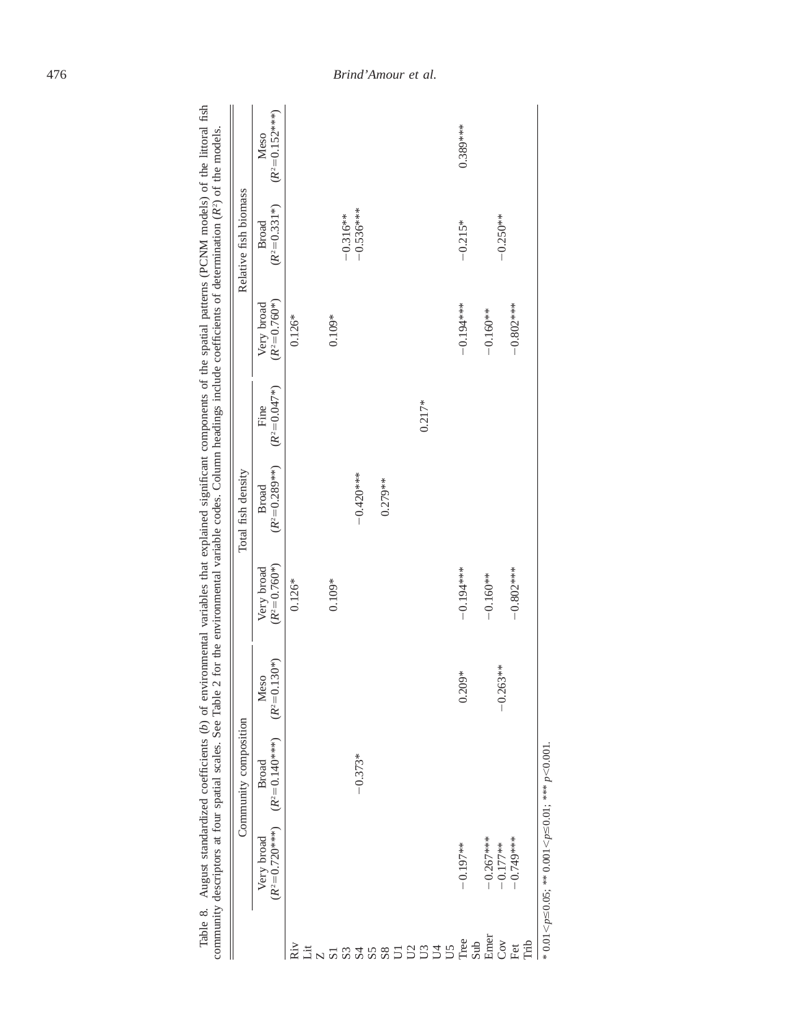|                      |                                | Community composition          |                        |                              | Total fish density              |                        |                              | Relative fish biomass          |                          |
|----------------------|--------------------------------|--------------------------------|------------------------|------------------------------|---------------------------------|------------------------|------------------------------|--------------------------------|--------------------------|
|                      | $(R^2=0.720***)$<br>Very broad | $(R^2=0.140**$<br><b>Broad</b> | $(R^2=0.130*)$<br>Meso | $(R^2=0.760*)$<br>Very broad | $(R^2=0.289**)$<br><b>Broad</b> | $(R^2=0.047*)$<br>Fine | $(R^2=0.760*)$<br>Very broad | $(R^2=0.331*)$<br><b>Broad</b> | $(R^2=0.152***)$<br>Meso |
| Riv<br>ii            |                                |                                |                        | $0.126*$                     |                                 |                        | $0.126*$                     |                                |                          |
|                      |                                |                                |                        | $0.109*$                     |                                 |                        | $0.109*$                     |                                |                          |
| S <sub>3</sub>       |                                |                                |                        |                              |                                 |                        |                              | $-0.316**$                     |                          |
| SS<br>S <sub>4</sub> |                                | $-0.373*$                      |                        |                              | $-0.420***$                     |                        |                              | $-0.536***$                    |                          |
| S8                   |                                |                                |                        |                              | $0.279**$                       |                        |                              |                                |                          |
|                      |                                |                                |                        |                              |                                 |                        |                              |                                |                          |
| <b>SSSSES</b>        |                                |                                |                        |                              |                                 | $0.217*$               |                              |                                |                          |
|                      | $-0.197**$                     |                                | $0.209*$               | $-0.194***$                  |                                 |                        | $-0.194***$                  | $-0.215*$                      | 0.389***                 |
|                      |                                |                                |                        |                              |                                 |                        |                              |                                |                          |
| Emer                 | $-0.267***$                    |                                |                        | $-0.160**$                   |                                 |                        | $-0.160**$                   |                                |                          |
| CoV                  | $-0.177**$                     |                                | $-0.263**$             |                              |                                 |                        |                              | $-0.250**$                     |                          |
| Fet                  | $-0.749***$                    |                                |                        | $-0.802***$                  |                                 |                        | $-0.802***$                  |                                |                          |
| Trib                 |                                |                                |                        |                              |                                 |                        |                              |                                |                          |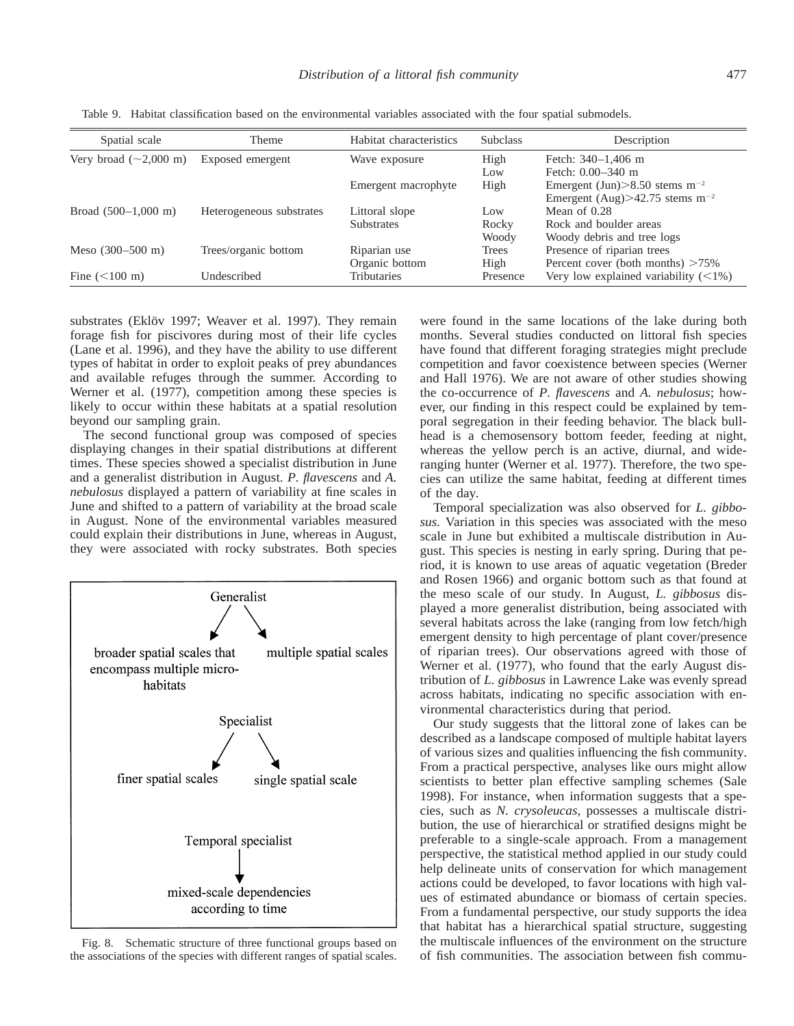| Spatial scale                       | Theme                    | Habitat characteristics | <b>Subclass</b> | Description                                   |
|-------------------------------------|--------------------------|-------------------------|-----------------|-----------------------------------------------|
| Very broad $(\sim 2,000 \text{ m})$ | Exposed emergent         | Wave exposure           | High            | Fetch: $340-1,406$ m                          |
|                                     |                          |                         | Low             | Fetch: $0.00-340$ m                           |
|                                     |                          | Emergent macrophyte     | High            | Emergent (Jun) $>8.50$ stems m <sup>-2</sup>  |
|                                     |                          |                         |                 | Emergent (Aug) $>42.75$ stems m <sup>-2</sup> |
| Broad $(500-1,000 \text{ m})$       | Heterogeneous substrates | Littoral slope          | Low             | Mean of $0.28$                                |
|                                     |                          | <b>Substrates</b>       | Rocky           | Rock and boulder areas                        |
|                                     |                          |                         | Woody           | Woody debris and tree logs                    |
| Meso $(300 - 500$ m)                | Trees/organic bottom     | Riparian use            | <b>Trees</b>    | Presence of riparian trees                    |
|                                     |                          | Organic bottom          | High            | Percent cover (both months) $>75\%$           |
| Fine $(< 100 \text{ m})$            | Undescribed              | Tributaries             | Presence        | Very low explained variability $(<1\%)$       |

Table 9. Habitat classification based on the environmental variables associated with the four spatial submodels.

substrates (Eklöv 1997; Weaver et al. 1997). They remain forage fish for piscivores during most of their life cycles (Lane et al. 1996), and they have the ability to use different types of habitat in order to exploit peaks of prey abundances and available refuges through the summer. According to Werner et al. (1977), competition among these species is likely to occur within these habitats at a spatial resolution beyond our sampling grain.

The second functional group was composed of species displaying changes in their spatial distributions at different times. These species showed a specialist distribution in June and a generalist distribution in August. *P. flavescens* and *A. nebulosus* displayed a pattern of variability at fine scales in June and shifted to a pattern of variability at the broad scale in August. None of the environmental variables measured could explain their distributions in June, whereas in August, they were associated with rocky substrates. Both species



Fig. 8. Schematic structure of three functional groups based on the associations of the species with different ranges of spatial scales.

were found in the same locations of the lake during both months. Several studies conducted on littoral fish species have found that different foraging strategies might preclude competition and favor coexistence between species (Werner and Hall 1976). We are not aware of other studies showing the co-occurrence of *P. flavescens* and *A. nebulosus*; however, our finding in this respect could be explained by temporal segregation in their feeding behavior. The black bullhead is a chemosensory bottom feeder, feeding at night, whereas the yellow perch is an active, diurnal, and wideranging hunter (Werner et al. 1977). Therefore, the two species can utilize the same habitat, feeding at different times of the day.

Temporal specialization was also observed for *L. gibbosus.* Variation in this species was associated with the meso scale in June but exhibited a multiscale distribution in August. This species is nesting in early spring. During that period, it is known to use areas of aquatic vegetation (Breder and Rosen 1966) and organic bottom such as that found at the meso scale of our study. In August, *L. gibbosus* displayed a more generalist distribution, being associated with several habitats across the lake (ranging from low fetch/high emergent density to high percentage of plant cover/presence of riparian trees). Our observations agreed with those of Werner et al. (1977), who found that the early August distribution of *L. gibbosus* in Lawrence Lake was evenly spread across habitats, indicating no specific association with environmental characteristics during that period.

Our study suggests that the littoral zone of lakes can be described as a landscape composed of multiple habitat layers of various sizes and qualities influencing the fish community. From a practical perspective, analyses like ours might allow scientists to better plan effective sampling schemes (Sale 1998). For instance, when information suggests that a species, such as *N. crysoleucas,* possesses a multiscale distribution, the use of hierarchical or stratified designs might be preferable to a single-scale approach. From a management perspective, the statistical method applied in our study could help delineate units of conservation for which management actions could be developed, to favor locations with high values of estimated abundance or biomass of certain species. From a fundamental perspective, our study supports the idea that habitat has a hierarchical spatial structure, suggesting the multiscale influences of the environment on the structure of fish communities. The association between fish commu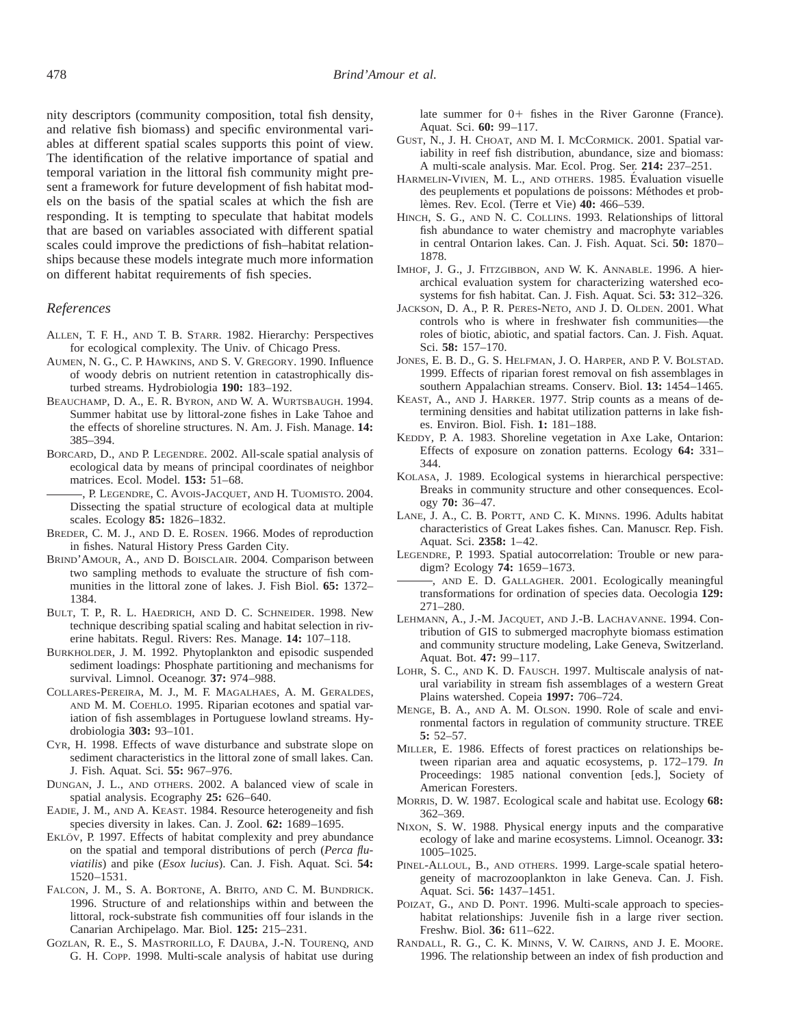nity descriptors (community composition, total fish density, and relative fish biomass) and specific environmental variables at different spatial scales supports this point of view. The identification of the relative importance of spatial and temporal variation in the littoral fish community might present a framework for future development of fish habitat models on the basis of the spatial scales at which the fish are responding. It is tempting to speculate that habitat models that are based on variables associated with different spatial scales could improve the predictions of fish–habitat relationships because these models integrate much more information on different habitat requirements of fish species.

### *References*

- ALLEN, T. F. H., AND T. B. STARR. 1982. Hierarchy: Perspectives for ecological complexity. The Univ. of Chicago Press.
- AUMEN, N. G., C. P. HAWKINS, AND S. V. GREGORY. 1990. Influence of woody debris on nutrient retention in catastrophically disturbed streams. Hydrobiologia **190:** 183–192.
- BEAUCHAMP, D. A., E. R. BYRON, AND W. A. WURTSBAUGH. 1994. Summer habitat use by littoral-zone fishes in Lake Tahoe and the effects of shoreline structures. N. Am. J. Fish. Manage. **14:** 385–394.
- BORCARD, D., AND P. LEGENDRE. 2002. All-scale spatial analysis of ecological data by means of principal coordinates of neighbor matrices. Ecol. Model. **153:** 51–68.
- , P. LEGENDRE, C. AVOIS-JACQUET, AND H. TUOMISTO. 2004. Dissecting the spatial structure of ecological data at multiple scales. Ecology **85:** 1826–1832.
- BREDER, C. M. J., AND D. E. ROSEN. 1966. Modes of reproduction in fishes. Natural History Press Garden City.
- BRIND'AMOUR, A., AND D. BOISCLAIR. 2004. Comparison between two sampling methods to evaluate the structure of fish communities in the littoral zone of lakes. J. Fish Biol. **65:** 1372– 1384.
- BULT, T. P., R. L. HAEDRICH, AND D. C. SCHNEIDER. 1998. New technique describing spatial scaling and habitat selection in riverine habitats. Regul. Rivers: Res. Manage. **14:** 107–118.
- BURKHOLDER, J. M. 1992. Phytoplankton and episodic suspended [sediment loadings: Phosphate partitioning and mechanisms for](http://www.aslo.org/lo/pdf/vol_37/issue_5/0974.pdf) survival. Limnol. Oceanogr. **37:** 974–988.
- COLLARES-PEREIRA, M. J., M. F. MAGALHAES, A. M. GERALDES, AND M. M. COEHLO. 1995. Riparian ecotones and spatial variation of fish assemblages in Portuguese lowland streams. Hydrobiologia **303:** 93–101.
- CYR, H. 1998. Effects of wave disturbance and substrate slope on sediment characteristics in the littoral zone of small lakes. Can. J. Fish. Aquat. Sci. **55:** 967–976.
- DUNGAN, J. L., AND OTHERS. 2002. A balanced view of scale in spatial analysis. Ecography **25:** 626–640.
- EADIE, J. M., AND A. KEAST. 1984. Resource heterogeneity and fish species diversity in lakes. Can. J. Zool. **62:** 1689–1695.
- EKLÖV, P. 1997. Effects of habitat complexity and prey abundance on the spatial and temporal distributions of perch (*Perca fluviatilis*) and pike (*Esox lucius*). Can. J. Fish. Aquat. Sci. **54:** 1520–1531.
- FALCON, J. M., S. A. BORTONE, A. BRITO, AND C. M. BUNDRICK. 1996. Structure of and relationships within and between the littoral, rock-substrate fish communities off four islands in the Canarian Archipelago. Mar. Biol. **125:** 215–231.
- GOZLAN, R. E., S. MASTRORILLO, F. DAUBA, J.-N. TOURENQ, AND G. H. COPP. 1998. Multi-scale analysis of habitat use during

late summer for  $0+$  fishes in the River Garonne (France). Aquat. Sci. **60:** 99–117.

- GUST, N., J. H. CHOAT, AND M. I. MCCORMICK. 2001. Spatial variability in reef fish distribution, abundance, size and biomass: A multi-scale analysis. Mar. Ecol. Prog. Ser. **214:** 237–251.
- HARMELIN-VIVIEN, M. L., AND OTHERS. 1985. Évaluation visuelle des peuplements et populations de poissons: Méthodes et proble`mes. Rev. Ecol. (Terre et Vie) **40:** 466–539.
- HINCH, S. G., AND N. C. COLLINS. 1993. Relationships of littoral fish abundance to water chemistry and macrophyte variables in central Ontarion lakes. Can. J. Fish. Aquat. Sci. **50:** 1870– 1878.
- IMHOF, J. G., J. FITZGIBBON, AND W. K. ANNABLE. 1996. A hierarchical evaluation system for characterizing watershed ecosystems for fish habitat. Can. J. Fish. Aquat. Sci. **53:** 312–326.
- JACKSON, D. A., P. R. PERES-NETO, AND J. D. OLDEN. 2001. What controls who is where in freshwater fish communities—the roles of biotic, abiotic, and spatial factors. Can. J. Fish. Aquat. Sci. **58:** 157–170.
- JONES, E. B. D., G. S. HELFMAN, J. O. HARPER, AND P. V. BOLSTAD. 1999. Effects of riparian forest removal on fish assemblages in southern Appalachian streams. Conserv. Biol. **13:** 1454–1465.
- KEAST, A., AND J. HARKER. 1977. Strip counts as a means of determining densities and habitat utilization patterns in lake fishes. Environ. Biol. Fish. **1:** 181–188.
- KEDDY, P. A. 1983. Shoreline vegetation in Axe Lake, Ontarion: Effects of exposure on zonation patterns. Ecology **64:** 331– 344.
- KOLASA, J. 1989. Ecological systems in hierarchical perspective: Breaks in community structure and other consequences. Ecology **70:** 36–47.
- LANE, J. A., C. B. PORTT, AND C. K. MINNS. 1996. Adults habitat characteristics of Great Lakes fishes. Can. Manuscr. Rep. Fish. Aquat. Sci. **2358:** 1–42.
- LEGENDRE, P. 1993. Spatial autocorrelation: Trouble or new paradigm? Ecology **74:** 1659–1673.
- , AND E. D. GALLAGHER. 2001. Ecologically meaningful transformations for ordination of species data. Oecologia **129:** 271–280.
- LEHMANN, A., J.-M. JACQUET, AND J.-B. LACHAVANNE. 1994. Contribution of GIS to submerged macrophyte biomass estimation and community structure modeling, Lake Geneva, Switzerland. Aquat. Bot. **47:** 99–117.
- LOHR, S. C., AND K. D. FAUSCH. 1997. Multiscale analysis of natural variability in stream fish assemblages of a western Great Plains watershed. Copeia **1997:** 706–724.
- MENGE, B. A., AND A. M. OLSON. 1990. Role of scale and environmental factors in regulation of community structure. TREE **5:** 52–57.
- MILLER, E. 1986. Effects of forest practices on relationships between riparian area and aquatic ecosystems, p. 172–179. *In* Proceedings: 1985 national convention [eds.], Society of American Foresters.
- MORRIS, D. W. 1987. Ecological scale and habitat use. Ecology **68:** 362–369.
- [NIXON, S. W. 1988. Physical energy inputs and the comparative](http://www.aslo.org/lo/pdf/vol_33/issue_4_part_2/1005.pdf) ecology of lake and marine ecosystems. Limnol. Oceanogr. **33:** 1005–1025.
- PINEL-ALLOUL, B., AND OTHERS. 1999. Large-scale spatial heterogeneity of macrozooplankton in lake Geneva. Can. J. Fish. Aquat. Sci. **56:** 1437–1451.
- POIZAT, G., AND D. PONT. 1996. Multi-scale approach to specieshabitat relationships: Juvenile fish in a large river section. Freshw. Biol. **36:** 611–622.
- RANDALL, R. G., C. K. MINNS, V. W. CAIRNS, AND J. E. MOORE. 1996. The relationship between an index of fish production and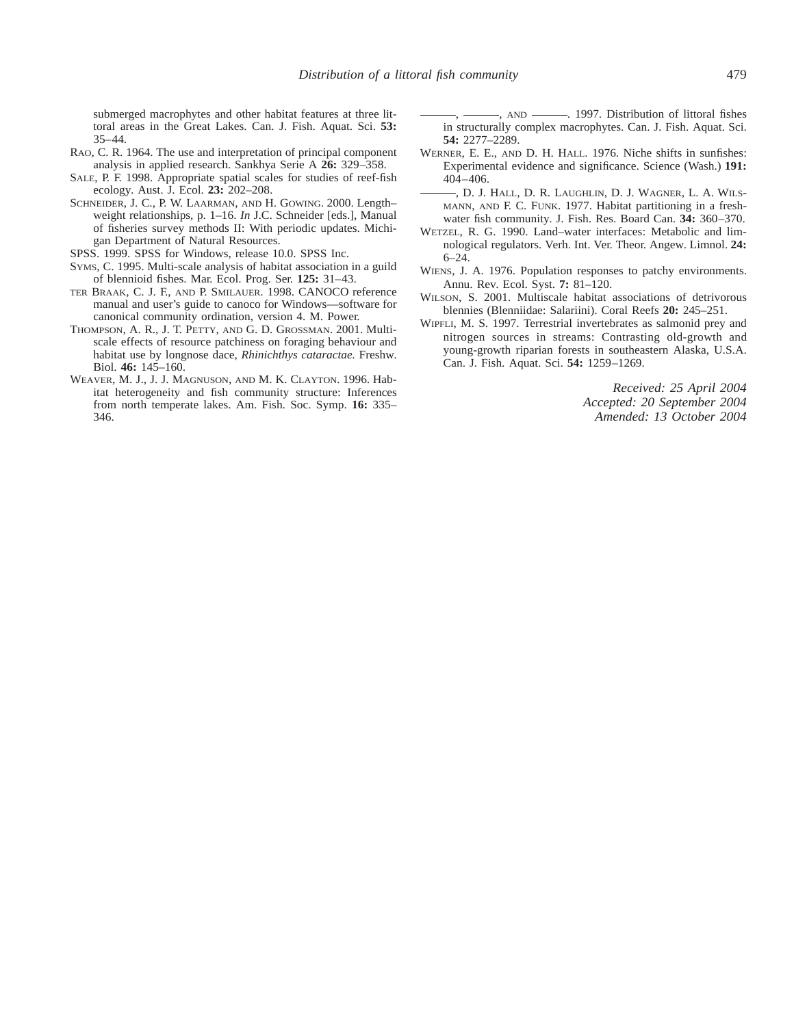submerged macrophytes and other habitat features at three littoral areas in the Great Lakes. Can. J. Fish. Aquat. Sci. **53:** 35–44.

- RAO, C. R. 1964. The use and interpretation of principal component analysis in applied research. Sankhya Serie A **26:** 329–358.
- SALE, P. F. 1998. Appropriate spatial scales for studies of reef-fish ecology. Aust. J. Ecol. **23:** 202–208.
- SCHNEIDER, J. C., P. W. LAARMAN, AND H. GOWING. 2000. Length– weight relationships, p. 1–16. *In* J.C. Schneider [eds.], Manual of fisheries survey methods II: With periodic updates. Michigan Department of Natural Resources.
- SPSS. 1999. SPSS for Windows, release 10.0. SPSS Inc.
- SYMS, C. 1995. Multi-scale analysis of habitat association in a guild of blennioid fishes. Mar. Ecol. Prog. Ser. **125:** 31–43.
- TER BRAAK, C. J. F., AND P. SMILAUER. 1998. CANOCO reference manual and user's guide to canoco for Windows—software for canonical community ordination, version 4. M. Power.
- THOMPSON, A. R., J. T. PETTY, AND G. D. GROSSMAN. 2001. Multiscale effects of resource patchiness on foraging behaviour and habitat use by longnose dace, *Rhinichthys cataractae.* Freshw. Biol. **46:** 145–160.
- WEAVER, M. J., J. J. MAGNUSON, AND M. K. CLAYTON. 1996. Habitat heterogeneity and fish community structure: Inferences from north temperate lakes. Am. Fish. Soc. Symp. **16:** 335– 346.
- , , AND . 1997. Distribution of littoral fishes in structurally complex macrophytes. Can. J. Fish. Aquat. Sci. **54:** 2277–2289.
- WERNER, E. E., AND D. H. HALL. 1976. Niche shifts in sunfishes: Experimental evidence and significance. Science (Wash.) **191:** 404–406.
- , D. J. HALL, D. R. LAUGHLIN, D. J. WAGNER, L. A. WILS-MANN, AND F. C. FUNK. 1977. Habitat partitioning in a freshwater fish community. J. Fish. Res. Board Can. **34:** 360–370.
- WETZEL, R. G. 1990. Land–water interfaces: Metabolic and limnological regulators. Verh. Int. Ver. Theor. Angew. Limnol. **24:**  $6 - 24.$
- WIENS, J. A. 1976. Population responses to patchy environments. Annu. Rev. Ecol. Syst. **7:** 81–120.
- WILSON, S. 2001. Multiscale habitat associations of detrivorous blennies (Blenniidae: Salariini). Coral Reefs **20:** 245–251.
- WIPFLI, M. S. 1997. Terrestrial invertebrates as salmonid prey and nitrogen sources in streams: Contrasting old-growth and young-growth riparian forests in southeastern Alaska, U.S.A. Can. J. Fish. Aquat. Sci. **54:** 1259–1269.

*Received: 25 April 2004 Accepted: 20 September 2004 Amended: 13 October 2004*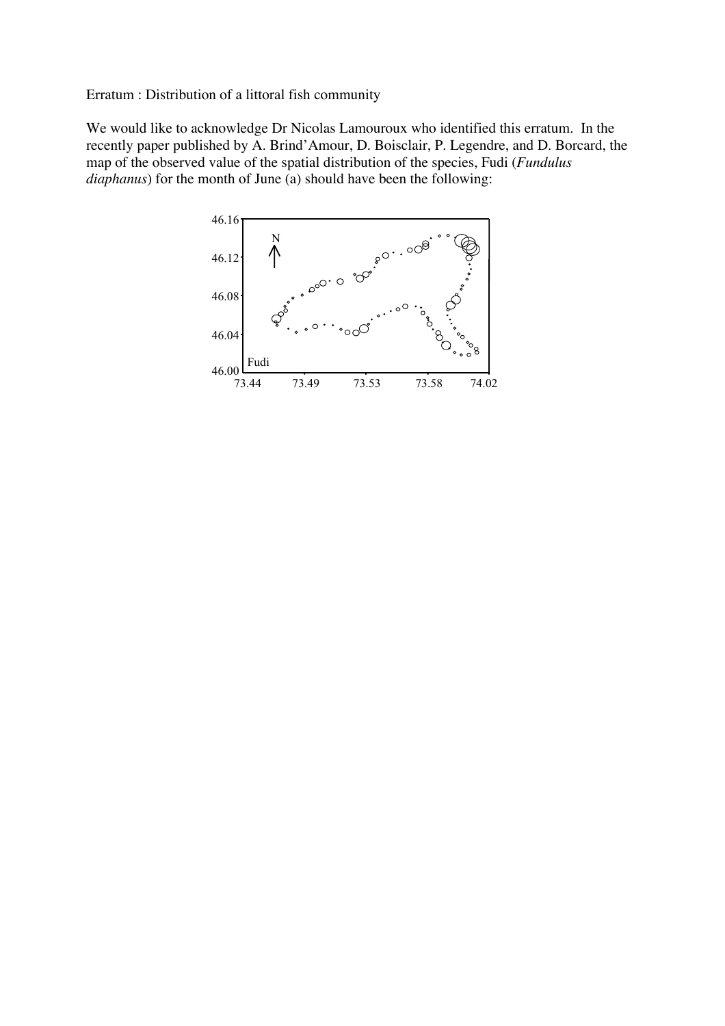Erratum : Distribution of a littoral fish community

We would like to acknowledge Dr Nicolas Lamouroux who identified this erratum. In the recently paper published by A. Brind'Amour, D. Boisclair, P. Legendre, and D. Borcard, the map of the observed value of the spatial distribution of the species, Fudi (*Fundulus diaphanus*) for the month of June (a) should have been the following: